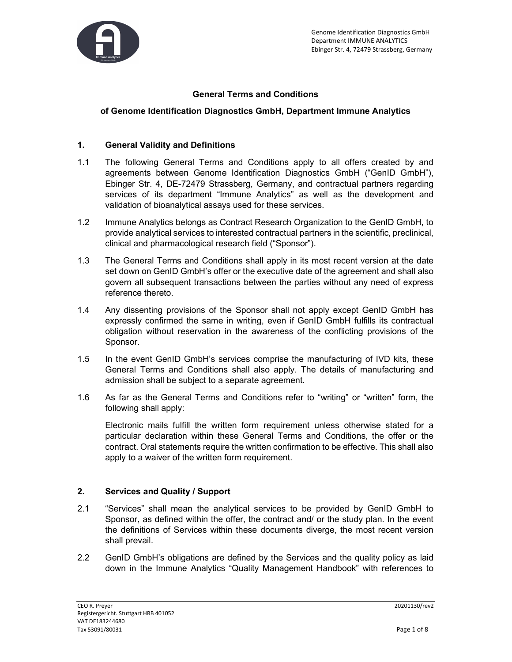

# General Terms and Conditions

#### of Genome Identification Diagnostics GmbH, Department Immune Analytics

#### 1. General Validity and Definitions

- 1.1 The following General Terms and Conditions apply to all offers created by and agreements between Genome Identification Diagnostics GmbH ("GenID GmbH"), Ebinger Str. 4, DE-72479 Strassberg, Germany, and contractual partners regarding services of its department "Immune Analytics" as well as the development and validation of bioanalytical assays used for these services.
- 1.2 Immune Analytics belongs as Contract Research Organization to the GenID GmbH, to provide analytical services to interested contractual partners in the scientific, preclinical, clinical and pharmacological research field ("Sponsor").
- 1.3 The General Terms and Conditions shall apply in its most recent version at the date set down on GenID GmbH's offer or the executive date of the agreement and shall also govern all subsequent transactions between the parties without any need of express reference thereto.
- 1.4 Any dissenting provisions of the Sponsor shall not apply except GenID GmbH has expressly confirmed the same in writing, even if GenID GmbH fulfills its contractual obligation without reservation in the awareness of the conflicting provisions of the Sponsor.
- 1.5 In the event GenID GmbH's services comprise the manufacturing of IVD kits, these General Terms and Conditions shall also apply. The details of manufacturing and admission shall be subject to a separate agreement.
- 1.6 As far as the General Terms and Conditions refer to "writing" or "written" form, the following shall apply:

 Electronic mails fulfill the written form requirement unless otherwise stated for a particular declaration within these General Terms and Conditions, the offer or the contract. Oral statements require the written confirmation to be effective. This shall also apply to a waiver of the written form requirement.

### 2. Services and Quality / Support

- 2.1 "Services" shall mean the analytical services to be provided by GenID GmbH to Sponsor, as defined within the offer, the contract and/ or the study plan. In the event the definitions of Services within these documents diverge, the most recent version shall prevail.
- 2.2 GenID GmbH's obligations are defined by the Services and the quality policy as laid down in the Immune Analytics "Quality Management Handbook" with references to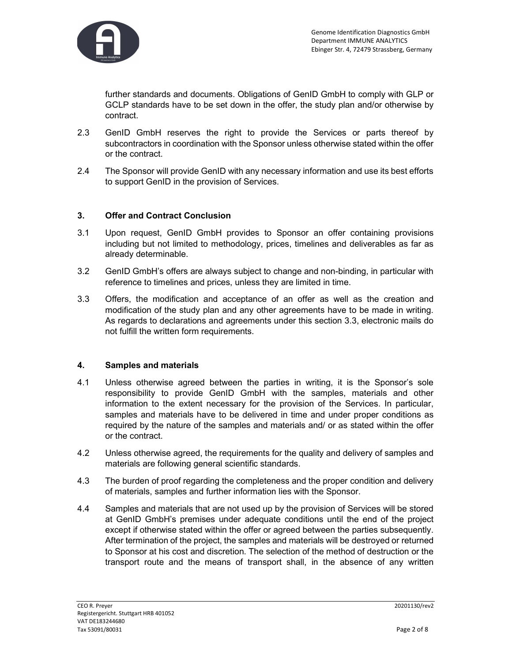

further standards and documents. Obligations of GenID GmbH to comply with GLP or GCLP standards have to be set down in the offer, the study plan and/or otherwise by contract.

- 2.3 GenID GmbH reserves the right to provide the Services or parts thereof by subcontractors in coordination with the Sponsor unless otherwise stated within the offer or the contract.
- 2.4 The Sponsor will provide GenID with any necessary information and use its best efforts to support GenID in the provision of Services.

## 3. Offer and Contract Conclusion

- 3.1 Upon request, GenID GmbH provides to Sponsor an offer containing provisions including but not limited to methodology, prices, timelines and deliverables as far as already determinable.
- 3.2 GenID GmbH's offers are always subject to change and non-binding, in particular with reference to timelines and prices, unless they are limited in time.
- 3.3 Offers, the modification and acceptance of an offer as well as the creation and modification of the study plan and any other agreements have to be made in writing. As regards to declarations and agreements under this section 3.3, electronic mails do not fulfill the written form requirements.

### 4. Samples and materials

- 4.1 Unless otherwise agreed between the parties in writing, it is the Sponsor's sole responsibility to provide GenID GmbH with the samples, materials and other information to the extent necessary for the provision of the Services. In particular, samples and materials have to be delivered in time and under proper conditions as required by the nature of the samples and materials and/ or as stated within the offer or the contract.
- 4.2 Unless otherwise agreed, the requirements for the quality and delivery of samples and materials are following general scientific standards.
- 4.3 The burden of proof regarding the completeness and the proper condition and delivery of materials, samples and further information lies with the Sponsor.
- 4.4 Samples and materials that are not used up by the provision of Services will be stored at GenID GmbH's premises under adequate conditions until the end of the project except if otherwise stated within the offer or agreed between the parties subsequently. After termination of the project, the samples and materials will be destroyed or returned to Sponsor at his cost and discretion. The selection of the method of destruction or the transport route and the means of transport shall, in the absence of any written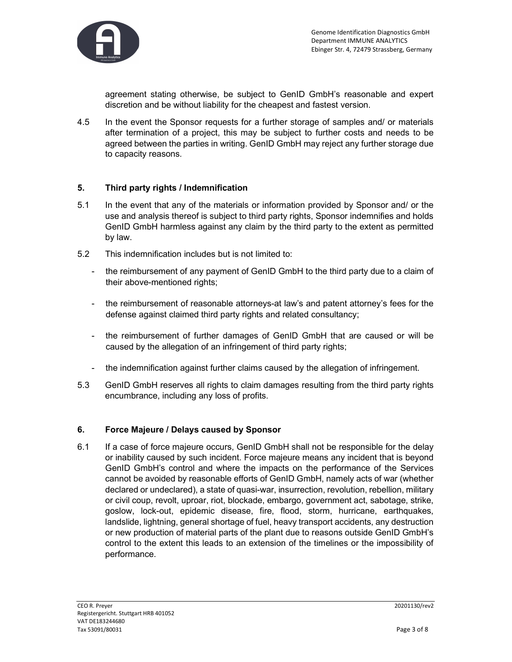

agreement stating otherwise, be subject to GenID GmbH's reasonable and expert discretion and be without liability for the cheapest and fastest version.

4.5 In the event the Sponsor requests for a further storage of samples and/ or materials after termination of a project, this may be subject to further costs and needs to be agreed between the parties in writing. GenID GmbH may reject any further storage due to capacity reasons.

## 5. Third party rights / Indemnification

- 5.1 In the event that any of the materials or information provided by Sponsor and/ or the use and analysis thereof is subject to third party rights, Sponsor indemnifies and holds GenID GmbH harmless against any claim by the third party to the extent as permitted by law.
- 5.2 This indemnification includes but is not limited to:
	- the reimbursement of any payment of GenID GmbH to the third party due to a claim of their above-mentioned rights;
	- the reimbursement of reasonable attorneys-at law's and patent attorney's fees for the defense against claimed third party rights and related consultancy;
	- the reimbursement of further damages of GenID GmbH that are caused or will be caused by the allegation of an infringement of third party rights;
	- the indemnification against further claims caused by the allegation of infringement.
- 5.3 GenID GmbH reserves all rights to claim damages resulting from the third party rights encumbrance, including any loss of profits.

### 6. Force Majeure / Delays caused by Sponsor

6.1 If a case of force majeure occurs, GenID GmbH shall not be responsible for the delay or inability caused by such incident. Force majeure means any incident that is beyond GenID GmbH's control and where the impacts on the performance of the Services cannot be avoided by reasonable efforts of GenID GmbH, namely acts of war (whether declared or undeclared), a state of quasi-war, insurrection, revolution, rebellion, military or civil coup, revolt, uproar, riot, blockade, embargo, government act, sabotage, strike, goslow, lock-out, epidemic disease, fire, flood, storm, hurricane, earthquakes, landslide, lightning, general shortage of fuel, heavy transport accidents, any destruction or new production of material parts of the plant due to reasons outside GenID GmbH's control to the extent this leads to an extension of the timelines or the impossibility of performance.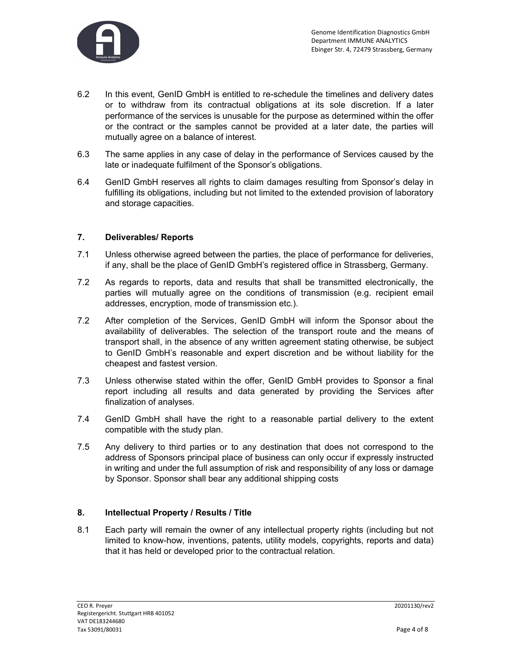

- 6.2 In this event, GenID GmbH is entitled to re-schedule the timelines and delivery dates or to withdraw from its contractual obligations at its sole discretion. If a later performance of the services is unusable for the purpose as determined within the offer or the contract or the samples cannot be provided at a later date, the parties will mutually agree on a balance of interest.
- 6.3 The same applies in any case of delay in the performance of Services caused by the late or inadequate fulfilment of the Sponsor's obligations.
- 6.4 GenID GmbH reserves all rights to claim damages resulting from Sponsor's delay in fulfilling its obligations, including but not limited to the extended provision of laboratory and storage capacities.

## 7. Deliverables/ Reports

- 7.1 Unless otherwise agreed between the parties, the place of performance for deliveries, if any, shall be the place of GenID GmbH's registered office in Strassberg, Germany.
- 7.2 As regards to reports, data and results that shall be transmitted electronically, the parties will mutually agree on the conditions of transmission (e.g. recipient email addresses, encryption, mode of transmission etc.).
- 7.2 After completion of the Services, GenID GmbH will inform the Sponsor about the availability of deliverables. The selection of the transport route and the means of transport shall, in the absence of any written agreement stating otherwise, be subject to GenID GmbH's reasonable and expert discretion and be without liability for the cheapest and fastest version.
- 7.3 Unless otherwise stated within the offer, GenID GmbH provides to Sponsor a final report including all results and data generated by providing the Services after finalization of analyses.
- 7.4 GenID GmbH shall have the right to a reasonable partial delivery to the extent compatible with the study plan.
- 7.5 Any delivery to third parties or to any destination that does not correspond to the address of Sponsors principal place of business can only occur if expressly instructed in writing and under the full assumption of risk and responsibility of any loss or damage by Sponsor. Sponsor shall bear any additional shipping costs

### 8. Intellectual Property / Results / Title

8.1 Each party will remain the owner of any intellectual property rights (including but not limited to know-how, inventions, patents, utility models, copyrights, reports and data) that it has held or developed prior to the contractual relation.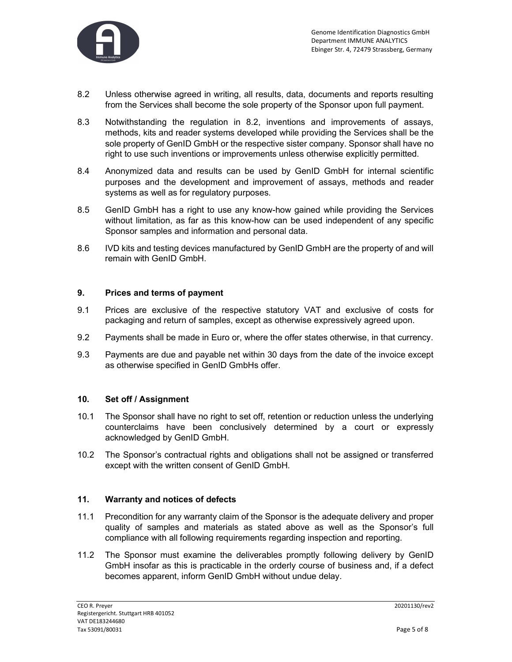

- 8.2 Unless otherwise agreed in writing, all results, data, documents and reports resulting from the Services shall become the sole property of the Sponsor upon full payment.
- 8.3 Notwithstanding the regulation in 8.2, inventions and improvements of assays, methods, kits and reader systems developed while providing the Services shall be the sole property of GenID GmbH or the respective sister company. Sponsor shall have no right to use such inventions or improvements unless otherwise explicitly permitted.
- 8.4 Anonymized data and results can be used by GenID GmbH for internal scientific purposes and the development and improvement of assays, methods and reader systems as well as for regulatory purposes.
- 8.5 GenID GmbH has a right to use any know-how gained while providing the Services without limitation, as far as this know-how can be used independent of any specific Sponsor samples and information and personal data.
- 8.6 IVD kits and testing devices manufactured by GenID GmbH are the property of and will remain with GenID GmbH.

### 9. Prices and terms of payment

- 9.1 Prices are exclusive of the respective statutory VAT and exclusive of costs for packaging and return of samples, except as otherwise expressively agreed upon.
- 9.2 Payments shall be made in Euro or, where the offer states otherwise, in that currency.
- 9.3 Payments are due and payable net within 30 days from the date of the invoice except as otherwise specified in GenID GmbHs offer.

### 10. Set off / Assignment

- 10.1 The Sponsor shall have no right to set off, retention or reduction unless the underlying counterclaims have been conclusively determined by a court or expressly acknowledged by GenID GmbH.
- 10.2 The Sponsor's contractual rights and obligations shall not be assigned or transferred except with the written consent of GenID GmbH.

### 11. Warranty and notices of defects

- 11.1 Precondition for any warranty claim of the Sponsor is the adequate delivery and proper quality of samples and materials as stated above as well as the Sponsor's full compliance with all following requirements regarding inspection and reporting.
- 11.2 The Sponsor must examine the deliverables promptly following delivery by GenID GmbH insofar as this is practicable in the orderly course of business and, if a defect becomes apparent, inform GenID GmbH without undue delay.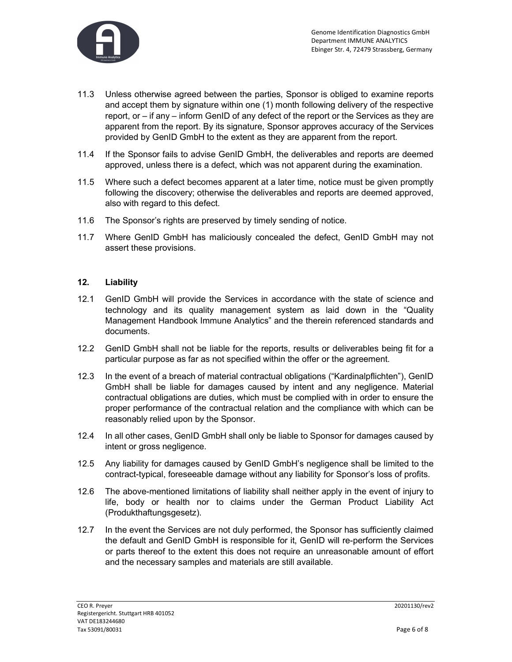

- 11.3 Unless otherwise agreed between the parties, Sponsor is obliged to examine reports and accept them by signature within one (1) month following delivery of the respective report, or – if any – inform GenID of any defect of the report or the Services as they are apparent from the report. By its signature, Sponsor approves accuracy of the Services provided by GenID GmbH to the extent as they are apparent from the report.
- 11.4 If the Sponsor fails to advise GenID GmbH, the deliverables and reports are deemed approved, unless there is a defect, which was not apparent during the examination.
- 11.5 Where such a defect becomes apparent at a later time, notice must be given promptly following the discovery; otherwise the deliverables and reports are deemed approved, also with regard to this defect.
- 11.6 The Sponsor's rights are preserved by timely sending of notice.
- 11.7 Where GenID GmbH has maliciously concealed the defect, GenID GmbH may not assert these provisions.

### 12. Liability

- 12.1 GenID GmbH will provide the Services in accordance with the state of science and technology and its quality management system as laid down in the "Quality Management Handbook Immune Analytics" and the therein referenced standards and documents.
- 12.2 GenID GmbH shall not be liable for the reports, results or deliverables being fit for a particular purpose as far as not specified within the offer or the agreement.
- 12.3 In the event of a breach of material contractual obligations ("Kardinalpflichten"), GenID GmbH shall be liable for damages caused by intent and any negligence. Material contractual obligations are duties, which must be complied with in order to ensure the proper performance of the contractual relation and the compliance with which can be reasonably relied upon by the Sponsor.
- 12.4 In all other cases, GenID GmbH shall only be liable to Sponsor for damages caused by intent or gross negligence.
- 12.5 Any liability for damages caused by GenID GmbH's negligence shall be limited to the contract-typical, foreseeable damage without any liability for Sponsor's loss of profits.
- 12.6 The above-mentioned limitations of liability shall neither apply in the event of injury to life, body or health nor to claims under the German Product Liability Act (Produkthaftungsgesetz).
- 12.7 In the event the Services are not duly performed, the Sponsor has sufficiently claimed the default and GenID GmbH is responsible for it, GenID will re-perform the Services or parts thereof to the extent this does not require an unreasonable amount of effort and the necessary samples and materials are still available.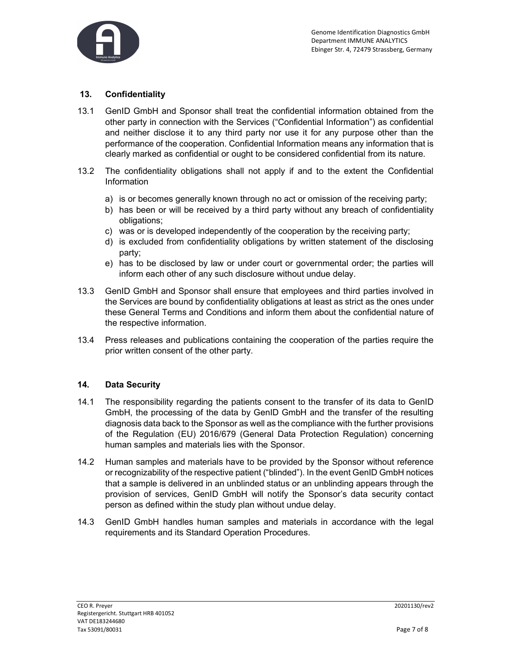

# 13. Confidentiality

- 13.1 GenID GmbH and Sponsor shall treat the confidential information obtained from the other party in connection with the Services ("Confidential Information") as confidential and neither disclose it to any third party nor use it for any purpose other than the performance of the cooperation. Confidential Information means any information that is clearly marked as confidential or ought to be considered confidential from its nature.
- 13.2 The confidentiality obligations shall not apply if and to the extent the Confidential Information
	- a) is or becomes generally known through no act or omission of the receiving party;
	- b) has been or will be received by a third party without any breach of confidentiality obligations;
	- c) was or is developed independently of the cooperation by the receiving party;
	- d) is excluded from confidentiality obligations by written statement of the disclosing party;
	- e) has to be disclosed by law or under court or governmental order; the parties will inform each other of any such disclosure without undue delay.
- 13.3 GenID GmbH and Sponsor shall ensure that employees and third parties involved in the Services are bound by confidentiality obligations at least as strict as the ones under these General Terms and Conditions and inform them about the confidential nature of the respective information.
- 13.4 Press releases and publications containing the cooperation of the parties require the prior written consent of the other party.

### 14. Data Security

- 14.1 The responsibility regarding the patients consent to the transfer of its data to GenID GmbH, the processing of the data by GenID GmbH and the transfer of the resulting diagnosis data back to the Sponsor as well as the compliance with the further provisions of the Regulation (EU) 2016/679 (General Data Protection Regulation) concerning human samples and materials lies with the Sponsor.
- 14.2 Human samples and materials have to be provided by the Sponsor without reference or recognizability of the respective patient ("blinded"). In the event GenID GmbH notices that a sample is delivered in an unblinded status or an unblinding appears through the provision of services, GenID GmbH will notify the Sponsor's data security contact person as defined within the study plan without undue delay.
- 14.3 GenID GmbH handles human samples and materials in accordance with the legal requirements and its Standard Operation Procedures.